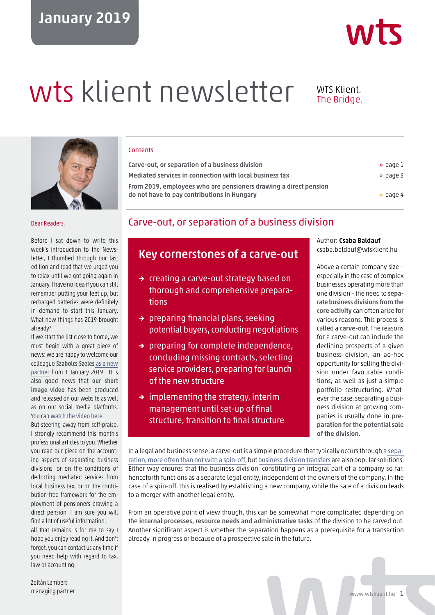## January 2019

# wts klient newsletter WTS Klient.

## The Bridge.



#### Dear Readers,

Before I sat down to write this week's introduction to the Newsletter, I thumbed through our last edition and read that we urged you to relax until we got going again in January. I have no idea if you can still remember putting your feet up, but recharged batteries were definitely in demand to start this January. What new things has 2019 brought already?

If we start the list close to home, we must begin with a great piece of news: we are happy to welcome our colleague Szabolcs Szeles [as a new](https://wtsklient.hu/en/2019/01/25/new-partner-at-wts-klient-hungary/) [partner](https://wtsklient.hu/en/2019/01/25/new-partner-at-wts-klient-hungary/) from 1 January 2019. It is also good news that our short image video has been produced and released on our website as well as on our social media platforms. You can [watch the video here](https://youtu.be/8uKXxz70NXI).

But steering away from self-praise, I strongly recommend this month's professional articles to you. Whether you read our piece on the accounting aspects of separating business divisions, or on the conditions of deducting mediated services from local business tax, or on the contribution-free framework for the employment of pensioners drawing a direct pension, I am sure you will find a lot of useful information. All that remains is for me to say I hope you enjoy reading it. And don't forget, you can contact us any time if you need help with regard to tax, law or accounting.

**Contents** 

| » page 1 |
|----------|
| » page 3 |
|          |
| » page 4 |
|          |

## Carve-out, or separation of a business division

## Key cornerstones of a carve-out

- → creating a carve-out strategy based on thorough and comprehensive preparations
- → preparing financial plans, seeking potential buyers, conducting negotiations
- $\rightarrow$  preparing for complete independence, concluding missing contracts, selecting service providers, preparing for launch of the new structure
- $\rightarrow$  implementing the strategy, interim management until set-up of final structure, transition to final structure

Author: Csaba Baldauf csaba.baldauf@wtsklient.hu

Above a certain company size – especially in the case of complex businesses operating more than one division – the need to separate business divisions from the core activity can often arise for various reasons. This process is called a carve-out. The reasons for a carve-out can include the declining prospects of a given business division, an ad-hoc opportunity for selling the division under favourable conditions, as well as just a simple portfolio restructuring. Whatever the case, separating a business division at growing companies is usually done in preparation for the potential sale of the division.

In a legal and business sense, a carve-out is a simple procedure that typically occurs through a [sepa](https://wtsklient.hu/en/2017/03/08/transformation-companies/)[ration, more often than not with a spin-off](https://wtsklient.hu/en/2017/03/08/transformation-companies/), but [business division transfers](https://wtsklient.hu/en/2018/08/07/business-division-transfer/) are also popular solutions. Either way ensures that the business division, constituting an integral part of a company so far, henceforth functions as a separate legal entity, independent of the owners of the company. In the case of a spin-off, this is realised by establishing a new company, while the sale of a division leads to a merger with another legal entity.

From an operative point of view though, this can be somewhat more complicated depending on the internal processes, resource needs and administrative tasks of the division to be carved out. Another significant aspect is whether the separation happens as a prerequisite for a transaction already in progress or because of a prospective sale in the future.

Zoltán Lambert

managing partner www.wtsklient.hu 1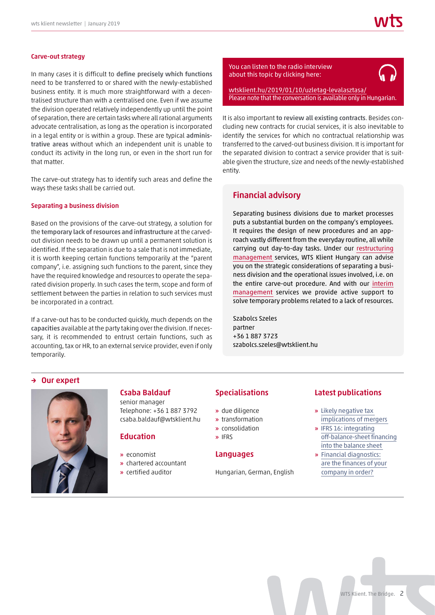#### Carve-out strategy

In many cases it is difficult to define precisely which functions need to be transferred to or shared with the newly-established business entity. It is much more straightforward with a decentralised structure than with a centralised one. Even if we assume the division operated relatively independently up until the point of separation, there are certain tasks where all rational arguments advocate centralisation, as long as the operation is incorporated in a legal entity or is within a group. These are typical administrative areas without which an independent unit is unable to conduct its activity in the long run, or even in the short run for that matter.

The carve-out strategy has to identify such areas and define the ways these tasks shall be carried out.

#### Separating a business division

Based on the provisions of the carve-out strategy, a solution for the temporary lack of resources and infrastructure at the carvedout division needs to be drawn up until a permanent solution is identified. If the separation is due to a sale that is not immediate, it is worth keeping certain functions temporarily at the "parent company", i.e. assigning such functions to the parent, since they have the required knowledge and resources to operate the separated division properly. In such cases the term, scope and form of settlement between the parties in relation to such services must be incorporated in a contract.

If a carve-out has to be conducted quickly, much depends on the capacities available at the party taking over the division. If necessary, it is recommended to entrust certain functions, such as accounting, tax or HR, to an external service provider, even if only temporarily.



[Please note that the conversation is available only in Hungarian.](https://wtsklient.hu/2019/01/10/uzletag-levalasztasa/)

It is also important to review all existing contracts. Besides concluding new contracts for crucial services, it is also inevitable to identify the services for which no contractual relationship was transferred to the carved-out business division. It is important for the separated division to contract a service provider that is suitable given the structure, size and needs of the newly-established entity.

#### Financial advisory

Separating business divisions due to market processes puts a substantial burden on the company's employees. It requires the design of new procedures and an approach vastly different from the everyday routine, all while carrying out day-to-day tasks. Under our [restructuring](https://wtsklient.hu/en/services/financial-advisory-services/restructuring-management/) [management](https://wtsklient.hu/en/services/financial-advisory-services/restructuring-management/) services, WTS Klient Hungary can advise you on the strategic considerations of separating a business division and the operational issues involved, i.e. on the entire carve-out procedure. And with our [interim](https://wtsklient.hu/en/services/financial-advisory-services/interim-management/) [management](https://wtsklient.hu/en/services/financial-advisory-services/interim-management/) services we provide active support to solve temporary problems related to a lack of resources.

Szabolcs Szeles partner +36 1 887 3723 szabolcs.szeles@wtsklient.hu

#### → Our expert



## Csaba Baldauf

senior manager Telephone: +36 1 887 3792 csaba.baldauf@wtsklient.hu

#### **Education**

- » economist
- » chartered accountant
- » certified auditor

#### Specialisations

- » due diligence
- » transformation
- » consolidation
- » IFRS

#### Languages

Hungarian, German, English

#### Latest publications

- » Likely negative tax [implications of mergers](https://wtsklient.hu/en/2018/08/21/mergers/)
- » IFRS 16: integrating [off-balance-sheet financing](https://wtsklient.hu/en/2018/05/29/ifrs-16/)  into the balance sheet
- » Financial diagnostics: [are the finances of your](https://wtsklient.hu/en/2018/02/27/financial-diagnostics/)  company in order?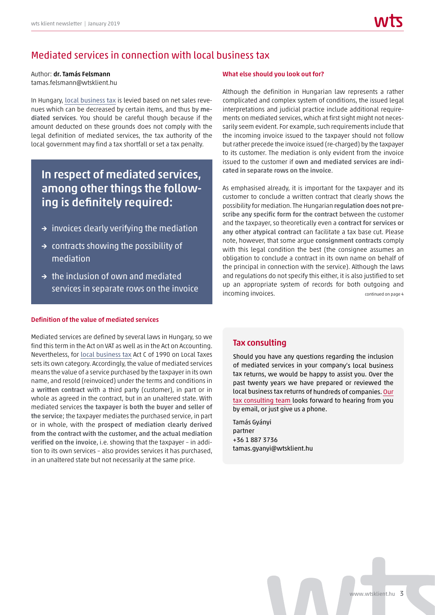## Mediated services in connection with local business tax

### Author: dr. Tamás Felsmann

tamas.felsmann@wtsklient.hu

In Hungary, [local business tax](https://wtsklient.hu/en/2017/08/22/the-local-business-tax/) is levied based on net sales revenues which can be decreased by certain items, and thus by mediated services. You should be careful though because if the amount deducted on these grounds does not comply with the legal definition of mediated services, the tax authority of the local government may find a tax shortfall or set a tax penalty.

## In respect of mediated services, among other things the following is definitely required:

- $\rightarrow$  invoices clearly verifying the mediation
- $\rightarrow$  contracts showing the possibility of mediation
- $\rightarrow$  the inclusion of own and mediated services in separate rows on the invoice

#### Definition of the value of mediated services

Mediated services are defined by several laws in Hungary, so we find this term in the Act on VAT as well as in the Act on Accounting. Nevertheless, for [local business tax](https://wtsklient.hu/en/2017/02/22/local-business-tax/) Act C of 1990 on Local Taxes sets its own category. Accordingly, the value of mediated services means the value of a service purchased by the taxpayer in its own name, and resold (reinvoiced) under the terms and conditions in a written contract with a third party (customer), in part or in whole as agreed in the contract, but in an unaltered state. With mediated services the taxpayer is both the buyer and seller of the service; the taxpayer mediates the purchased service, in part or in whole, with the prospect of mediation clearly derived from the contract with the customer, and the actual mediation verified on the invoice, i.e. showing that the taxpayer – in addition to its own services – also provides services it has purchased, in an unaltered state but not necessarily at the same price.

#### What else should you look out for?

Although the definition in Hungarian law represents a rather complicated and complex system of conditions, the issued legal interpretations and judicial practice include additional requirements on mediated services, which at first sight might not necessarily seem evident. For example, such requirements include that the incoming invoice issued to the taxpayer should not follow but rather precede the invoice issued (re-charged) by the taxpayer to its customer. The mediation is only evident from the invoice issued to the customer if own and mediated services are indicated in separate rows on the invoice.

As emphasised already, it is important for the taxpayer and its customer to conclude a written contract that clearly shows the possibility for mediation. The Hungarian regulation does not prescribe any specific form for the contract between the customer and the taxpayer, so theoretically even a contract for services or any other atypical contract can facilitate a tax base cut. Please note, however, that some argue consignment contracts comply with this legal condition the best (the consignee assumes an obligation to conclude a contract in its own name on behalf of the principal in connection with the service). Although the laws and regulations do not specify this either, it is also justified to set up an appropriate system of records for both outgoing and incoming invoices. The continued on page 4

#### Tax consulting

Should you have any questions regarding the inclusion of mediated services in your company's local business tax returns, we would be happy to assist you. Over the past twenty years we have prepared or reviewed the local business tax returns of hundreds of companies. [Our](https://wtsklient.hu/en/services/tax-consulting/) [tax consulting team](https://wtsklient.hu/en/services/tax-consulting/) looks forward to hearing from you by email, or just give us a phone.

Tamás Gyányi partner +36 1 887 3736 tamas.gyanyi@wtsklient.hu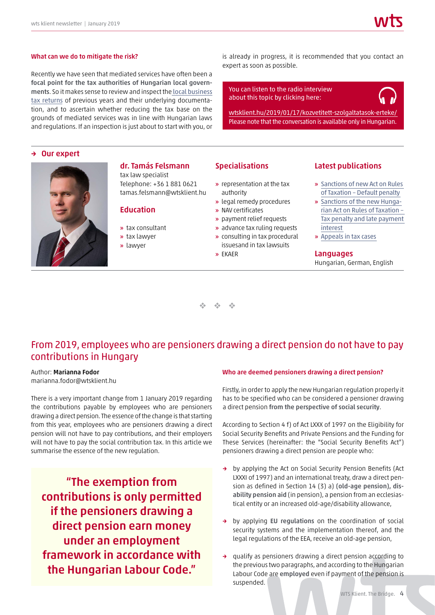#### What can we do to mitigate the risk?

Recently we have seen that mediated services have often been a focal point for the tax authorities of Hungarian local governments. So it makes sense to review and inspect the [local business](https://wtsklient.hu/en/2018/04/17/electronic-communication/) [tax returns](https://wtsklient.hu/en/2018/04/17/electronic-communication/) of previous years and their underlying documentation, and to ascertain whether reducing the tax base on the grounds of mediated services was in line with Hungarian laws and regulations. If an inspection is just about to start with you, or

#### → Our expert



#### dr. Tamás Felsmann tax law specialist

Telephone: +36 1 881 0621 tamas.felsmann@wtsklient.hu

#### Education

- » tax consultant
- » tax lawyer
- 
- » lawyer

#### is already in progress, it is recommended that you contact an expert as soon as possible.

You can listen to the radio interview about this topic by clicking here:

[wtsklient.hu/2019/01/17/kozvetitett-szolgaltatasok-erteke/](https://wtsklient.hu/2019/01/17/kozvetitett-szolgaltatasok-erteke/) Please note that the conversation is available only in Hungarian.

#### Specialisations

- » representation at the tax authority
- » legal remedy procedures
- » NAV certificates
- » payment relief requests
- » advance tax ruling requests » consulting in tax procedural
- issuesand in tax lawsuits
- » EKAER

#### Latest publications

- » [Sanctions of new Act on Rules](https://wtsklient.hu/en/2018/07/31/default-penalty/)  of Taxation – Default penalty
- » Sanctions of the new Hunga[rian Act on Rules of Taxation –](https://wtsklient.hu/en/2018/06/26/tax-penalty/)  Tax penalty and late payment interest
- » [Appeals in tax cases](https://wtsklient.hu/en/2018/04/03/appeals-in-tax-cases/)

#### Languages

Hungarian, German, English

 $\frac{d\mathbf{r}}{d\mathbf{r}}$  .  $\frac{d^2\phi}{d^2}$  .  $\frac{1}{2}$ 

## From 2019, employees who are pensioners drawing a direct pension do not have to pay contributions in Hungary

#### Author: Marianna Fodor

marianna.fodor@wtsklient.hu

There is a very important change from 1 January 2019 regarding the contributions payable by employees who are pensioners drawing a direct pension. The essence of the change is that starting from this year, employees who are pensioners drawing a direct pension will not have to pay contributions, and their employers will not have to pay the social contribution tax. In this article we summarise the essence of the new regulation.

"The exemption from contributions is only permitted if the pensioners drawing a direct pension earn money under an employment framework in accordance with the Hungarian Labour Code."

#### Who are deemed pensioners drawing a direct pension?

Firstly, in order to apply the new Hungarian regulation properly it has to be specified who can be considered a pensioner drawing a direct pension from the perspective of social security.

According to Section 4 f) of Act LXXX of 1997 on the Eligibility for Social Security Benefits and Private Pensions and the Funding for These Services (hereinafter: the "Social Security Benefits Act") pensioners drawing a direct pension are people who:

- → by applying the Act on Social Security Pension Benefits (Act LXXXI of 1997) and an international treaty, draw a direct pension as defined in Section 14 (3) a) (old-age pension), disability pension aid (in pension), a pension from an ecclesiastical entity or an increased old-age/disability allowance,
- → by applying EU regulations on the coordination of social security systems and the implementation thereof, and the legal regulations of the EEA, receive an old-age pension,
- → qualify as pensioners drawing a direct pension according to the previous two paragraphs, and according to the Hungarian Labour Code are employed even if payment of the pension is suspended.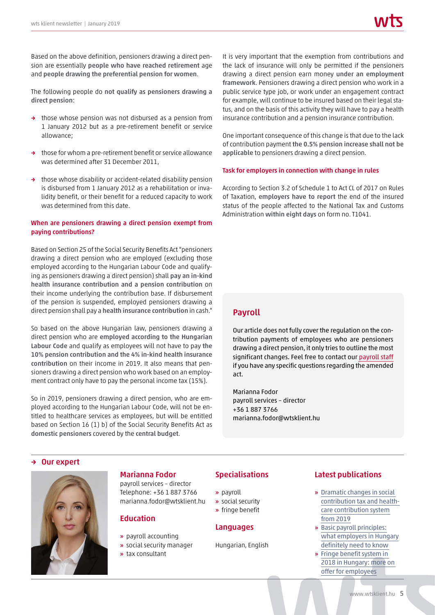Based on the above definition, pensioners drawing a direct pension are essentially people who have reached retirement age and people drawing the preferential pension for women.

The following people do not qualify as pensioners drawing a direct pension:

- → those whose pension was not disbursed as a pension from 1 January 2012 but as a pre-retirement benefit or service allowance;
- → those for whom a pre-retirement benefit or service allowance was determined after 31 December 2011,
- → those whose disability or accident-related disability pension is disbursed from 1 January 2012 as a rehabilitation or invalidity benefit, or their benefit for a reduced capacity to work was determined from this date.

#### When are pensioners drawing a direct pension exempt from paying contributions?

Based on Section 25 of the Social Security Benefits Act "pensioners drawing a direct pension who are employed (excluding those employed according to the Hungarian Labour Code and qualifying as pensioners drawing a direct pension) shall pay an in-kind health insurance contribution and a pension contribution on their income underlying the contribution base. If disbursement of the pension is suspended, employed pensioners drawing a direct pension shall pay a health insurance contribution in cash."

So based on the above Hungarian law, pensioners drawing a direct pension who are employed according to the Hungarian Labour Code and qualify as employees will not have to pay the 10% pension contribution and the 4% in-kind health insurance contribution on their income in 2019. It also means that pensioners drawing a direct pension who work based on an employment contract only have to pay the personal income tax (15%).

So in 2019, pensioners drawing a direct pension, who are employed according to the Hungarian Labour Code, will not be entitled to healthcare services as employees, but will be entitled based on Section 16 (1) b) of the Social Security Benefits Act as domestic pensioners covered by the central budget.

It is very important that the exemption from contributions and the lack of insurance will only be permitted if the pensioners drawing a direct pension earn money under an employment framework. Pensioners drawing a direct pension who work in a public service type job, or work under an engagement contract for example, will continue to be insured based on their legal status, and on the basis of this activity they will have to pay a health insurance contribution and a pension insurance contribution.

One important consequence of this change is that due to the lack of contribution payment the 0.5% pension increase shall not be applicable to pensioners drawing a direct pension.

#### Task for employers in connection with change in rules

According to Section 3.2 of Schedule 1 to Act CL of 2017 on Rules of Taxation, employers have to report the end of the insured status of the people affected to the National Tax and Customs Administration within eight days on form no. T1041.

#### Payroll

Our article does not fully cover the regulation on the contribution payments of employees who are pensioners drawing a direct pension, it only tries to outline the most significant changes. Feel free to contact our [payroll staff](https://wtsklient.hu/en/services/payroll/) if you have any specific questions regarding the amended act.

Marianna Fodor payroll services – director +36 1 887 3766 marianna.fodor@wtsklient.hu

#### → Our expert



#### Marianna Fodor

payroll services – director Telephone: +36 1 887 3766 marianna.fodor@wtsklient.hu

#### **Education**

- » payroll accounting
- » social security manager
- » tax consultant

#### **Specialisations**

- » payroll
- » social security
- » fringe benefit

#### Languages

Hungarian, English

#### Latest publications

- » Dramatic changes in social [contribution tax and health](https://wtsklient.hu/en/2018/09/04/social-contribution-tax/)care contribution system from 2019
- » Basic payroll principles: [what employers in Hungary](https://wtsklient.hu/en/2018/05/22/employers/)  definitely need to know
- » Fringe benefit system in [2018 in Hungary: more on](https://wtsklient.hu/en/2018/01/23/fringe-benefit-system/)  offer for employees